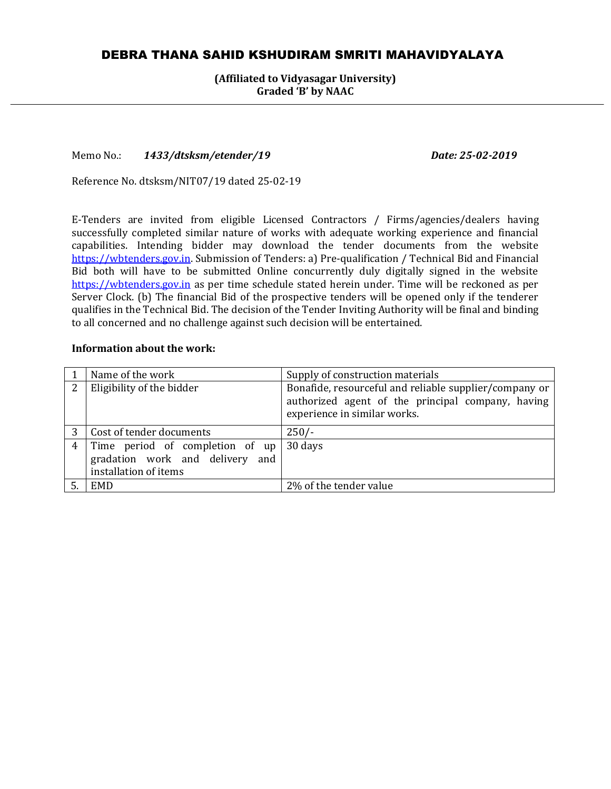# DEBRA THANA SAHID KSHUDIRAM SMRITI MAHAVIDYALAYA

**(Affiliated to Vidyasagar University) Graded 'B' by NAAC**

Memo No.: *1433/dtsksm/etender/19 Date: 25-02-2019*

Reference No. dtsksm/NIT07/19 dated 25-02-19

E-Tenders are invited from eligible Licensed Contractors / Firms/agencies/dealers having successfully completed similar nature of works with adequate working experience and financial capabilities. Intending bidder may download the tender documents from the website [https://wbtenders.gov.in.](https://wbtenders.gov.in/) Submission of Tenders: a) Pre-qualification / Technical Bid and Financial Bid both will have to be submitted Online concurrently duly digitally signed in the website [https://wbtenders.gov.in](https://wbtenders.gov.in/) as per time schedule stated herein under. Time will be reckoned as per Server Clock. (b) The financial Bid of the prospective tenders will be opened only if the tenderer qualifies in the Technical Bid. The decision of the Tender Inviting Authority will be final and binding to all concerned and no challenge against such decision will be entertained.

#### **Information about the work:**

|   | Name of the work                                                                            | Supply of construction materials                                                                                                            |
|---|---------------------------------------------------------------------------------------------|---------------------------------------------------------------------------------------------------------------------------------------------|
| 2 | Eligibility of the bidder                                                                   | Bonafide, resourceful and reliable supplier/company or<br>authorized agent of the principal company, having<br>experience in similar works. |
|   | Cost of tender documents                                                                    | $250/-$                                                                                                                                     |
| 4 | Time period of completion of up<br>gradation work and delivery and<br>installation of items | 30 days                                                                                                                                     |
|   | EMD                                                                                         | 2% of the tender value                                                                                                                      |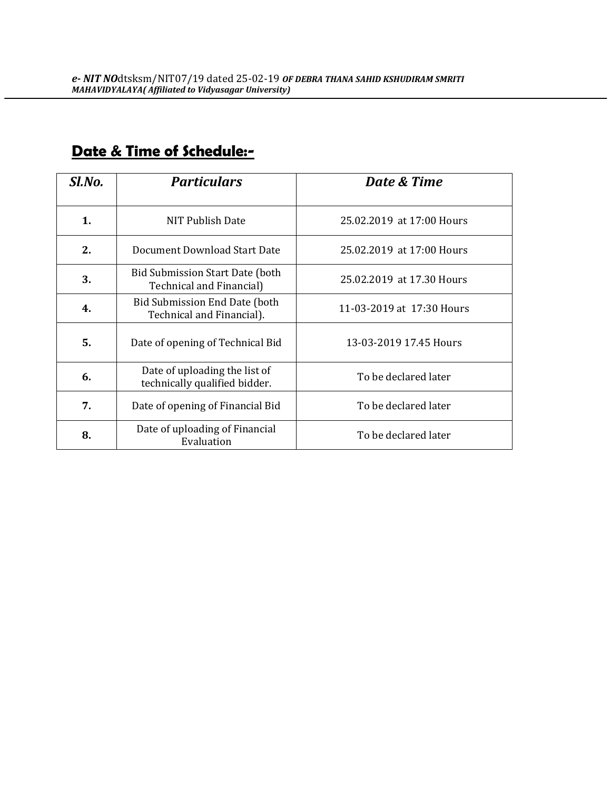| Sl.No. | <b>Particulars</b>                                             | Date & Time               |
|--------|----------------------------------------------------------------|---------------------------|
| 1.     | NIT Publish Date                                               | 25.02.2019 at 17:00 Hours |
| 2.     | Document Download Start Date                                   | 25.02.2019 at 17:00 Hours |
| 3.     | Bid Submission Start Date (both<br>Technical and Financial)    | 25.02.2019 at 17.30 Hours |
| 4.     | Bid Submission End Date (both<br>Technical and Financial).     | 11-03-2019 at 17:30 Hours |
| 5.     | Date of opening of Technical Bid                               | 13-03-2019 17.45 Hours    |
| 6.     | Date of uploading the list of<br>technically qualified bidder. | To be declared later      |
| 7.     | Date of opening of Financial Bid                               | To be declared later      |
| 8.     | Date of uploading of Financial<br>Evaluation                   | To be declared later      |

# **Date & Time of Schedule:-**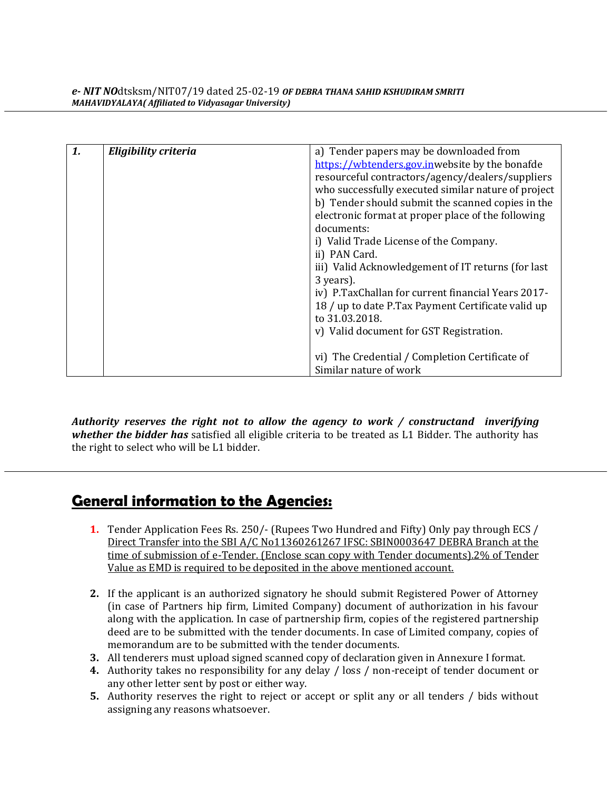| 1. | Eligibility criteria | a) Tender papers may be downloaded from             |
|----|----------------------|-----------------------------------------------------|
|    |                      | https://wbtenders.gov.inwebsite by the bonafde      |
|    |                      | resourceful contractors/agency/dealers/suppliers    |
|    |                      | who successfully executed similar nature of project |
|    |                      | b) Tender should submit the scanned copies in the   |
|    |                      | electronic format at proper place of the following  |
|    |                      | documents:                                          |
|    |                      | i) Valid Trade License of the Company.              |
|    |                      | ii) PAN Card.                                       |
|    |                      | iii) Valid Acknowledgement of IT returns (for last  |
|    |                      | 3 years).                                           |
|    |                      | iv) P.TaxChallan for current financial Years 2017-  |
|    |                      | 18 / up to date P.Tax Payment Certificate valid up  |
|    |                      | to 31.03.2018.                                      |
|    |                      | v) Valid document for GST Registration.             |
|    |                      |                                                     |
|    |                      | vi) The Credential / Completion Certificate of      |
|    |                      | Similar nature of work                              |

*Authority reserves the right not to allow the agency to work / constructand inverifying whether the bidder has* satisfied all eligible criteria to be treated as L1 Bidder. The authority has the right to select who will be L1 bidder.

# **General information to the Agencies:**

- **1.** Tender Application Fees Rs. 250/- (Rupees Two Hundred and Fifty) Only pay through ECS / Direct Transfer into the SBI A/C No11360261267 IFSC: SBIN0003647 DEBRA Branch at the time of submission of e-Tender. (Enclose scan copy with Tender documents).2% of Tender Value as EMD is required to be deposited in the above mentioned account.
- **2.** If the applicant is an authorized signatory he should submit Registered Power of Attorney (in case of Partners hip firm, Limited Company) document of authorization in his favour along with the application. In case of partnership firm, copies of the registered partnership deed are to be submitted with the tender documents. In case of Limited company, copies of memorandum are to be submitted with the tender documents.
- **3.** All tenderers must upload signed scanned copy of declaration given in Annexure I format.
- **4.** Authority takes no responsibility for any delay / loss / non-receipt of tender document or any other letter sent by post or either way.
- **5.** Authority reserves the right to reject or accept or split any or all tenders / bids without assigning any reasons whatsoever.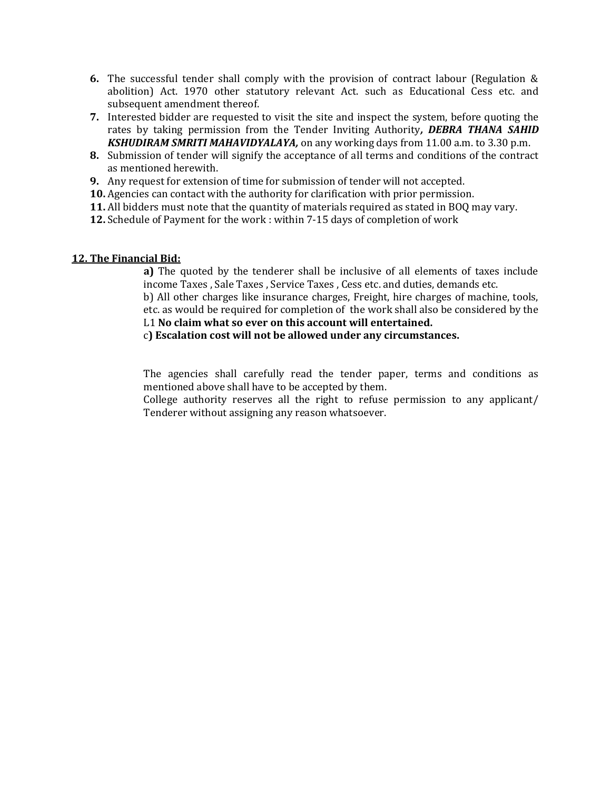- **6.** The successful tender shall comply with the provision of contract labour (Regulation & abolition) Act. 1970 other statutory relevant Act. such as Educational Cess etc. and subsequent amendment thereof.
- **7.** Interested bidder are requested to visit the site and inspect the system, before quoting the rates by taking permission from the Tender Inviting Authority*, DEBRA THANA SAHID KSHUDIRAM SMRITI MAHAVIDYALAYA,* on any working days from 11.00 a.m. to 3.30 p.m.
- **8.** Submission of tender will signify the acceptance of all terms and conditions of the contract as mentioned herewith.
- **9.** Any request for extension of time for submission of tender will not accepted.
- **10.** Agencies can contact with the authority for clarification with prior permission.
- **11.** All bidders must note that the quantity of materials required as stated in BOQ may vary.
- **12.** Schedule of Payment for the work : within 7-15 days of completion of work

#### **12. The Financial Bid:**

**a)** The quoted by the tenderer shall be inclusive of all elements of taxes include income Taxes , Sale Taxes , Service Taxes , Cess etc. and duties, demands etc. b) All other charges like insurance charges, Freight, hire charges of machine, tools, etc. as would be required for completion of the work shall also be considered by the L1 **No claim what so ever on this account will entertained.**

c**) Escalation cost will not be allowed under any circumstances.**

The agencies shall carefully read the tender paper, terms and conditions as mentioned above shall have to be accepted by them.

College authority reserves all the right to refuse permission to any applicant/ Tenderer without assigning any reason whatsoever.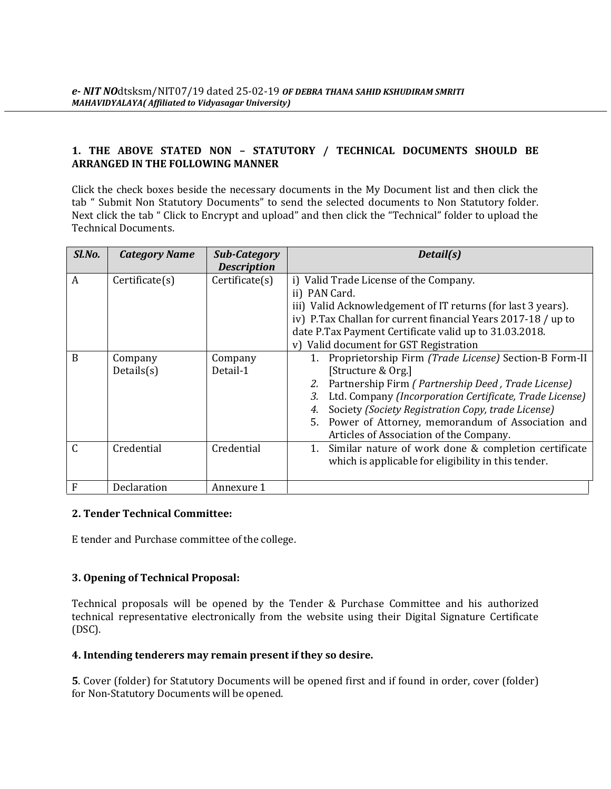# **1. THE ABOVE STATED NON – STATUTORY / TECHNICAL DOCUMENTS SHOULD BE ARRANGED IN THE FOLLOWING MANNER**

Click the check boxes beside the necessary documents in the My Document list and then click the tab " Submit Non Statutory Documents" to send the selected documents to Non Statutory folder. Next click the tab " Click to Encrypt and upload" and then click the "Technical" folder to upload the Technical Documents.

| Sl.No.         | <b>Category Name</b>  | <b>Sub-Category</b><br><b>Description</b> | Detail(s)                                                                                                                                                                                                                                                                                                                                                           |
|----------------|-----------------------|-------------------------------------------|---------------------------------------------------------------------------------------------------------------------------------------------------------------------------------------------------------------------------------------------------------------------------------------------------------------------------------------------------------------------|
| $\overline{A}$ | Certificance(s)       | Certificance(s)                           | i) Valid Trade License of the Company.<br>ii) PAN Card.<br>iii) Valid Acknowledgement of IT returns (for last 3 years).<br>iv) P.Tax Challan for current financial Years 2017-18 / up to<br>date P.Tax Payment Certificate valid up to 31.03.2018.<br>Valid document for GST Registration<br>V                                                                      |
| B              | Company<br>Details(s) | Company<br>Detail-1                       | 1. Proprietorship Firm (Trade License) Section-B Form-II<br>[Structure & Org.]<br>Partnership Firm (Partnership Deed, Trade License)<br>2.<br>Ltd. Company (Incorporation Certificate, Trade License)<br>3.<br>Society (Society Registration Copy, trade License)<br>5. Power of Attorney, memorandum of Association and<br>Articles of Association of the Company. |
|                | Credential            | Credential                                | Similar nature of work done & completion certificate<br>which is applicable for eligibility in this tender.                                                                                                                                                                                                                                                         |
| F              | Declaration           | Annexure 1                                |                                                                                                                                                                                                                                                                                                                                                                     |

#### **2. Tender Technical Committee:**

E tender and Purchase committee of the college.

# **3. Opening of Technical Proposal:**

Technical proposals will be opened by the Tender & Purchase Committee and his authorized technical representative electronically from the website using their Digital Signature Certificate (DSC).

# **4. Intending tenderers may remain present if they so desire.**

**5**. Cover (folder) for Statutory Documents will be opened first and if found in order, cover (folder) for Non-Statutory Documents will be opened.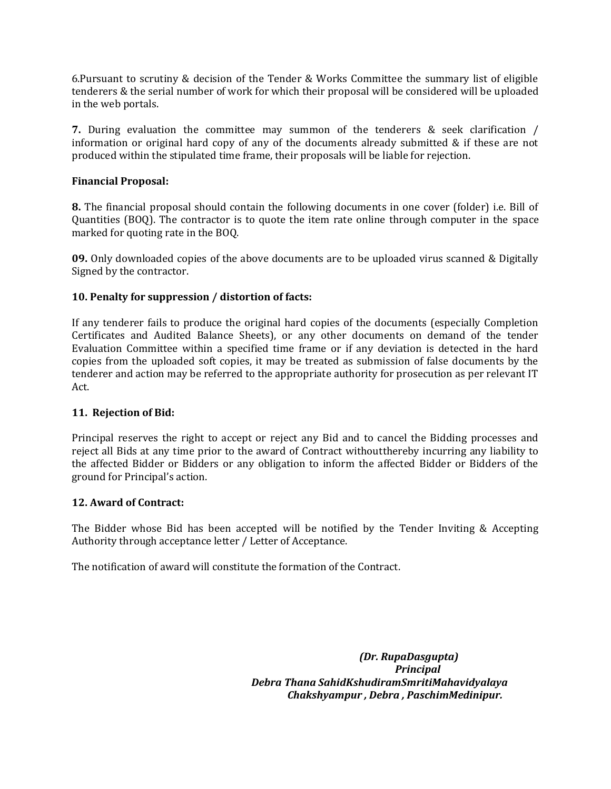6.Pursuant to scrutiny & decision of the Tender & Works Committee the summary list of eligible tenderers & the serial number of work for which their proposal will be considered will be uploaded in the web portals.

**7.** During evaluation the committee may summon of the tenderers & seek clarification / information or original hard copy of any of the documents already submitted & if these are not produced within the stipulated time frame, their proposals will be liable for rejection.

### **Financial Proposal:**

**8.** The financial proposal should contain the following documents in one cover (folder) i.e. Bill of Quantities (BOQ). The contractor is to quote the item rate online through computer in the space marked for quoting rate in the BOQ.

**09.** Only downloaded copies of the above documents are to be uploaded virus scanned & Digitally Signed by the contractor.

### **10. Penalty for suppression / distortion of facts:**

If any tenderer fails to produce the original hard copies of the documents (especially Completion Certificates and Audited Balance Sheets), or any other documents on demand of the tender Evaluation Committee within a specified time frame or if any deviation is detected in the hard copies from the uploaded soft copies, it may be treated as submission of false documents by the tenderer and action may be referred to the appropriate authority for prosecution as per relevant IT Act.

#### **11. Rejection of Bid:**

Principal reserves the right to accept or reject any Bid and to cancel the Bidding processes and reject all Bids at any time prior to the award of Contract withoutthereby incurring any liability to the affected Bidder or Bidders or any obligation to inform the affected Bidder or Bidders of the ground for Principal's action.

#### **12. Award of Contract:**

The Bidder whose Bid has been accepted will be notified by the Tender Inviting & Accepting Authority through acceptance letter / Letter of Acceptance.

The notification of award will constitute the formation of the Contract.

*(Dr. RupaDasgupta) Principal Debra Thana SahidKshudiramSmritiMahavidyalaya Chakshyampur , Debra , PaschimMedinipur.*